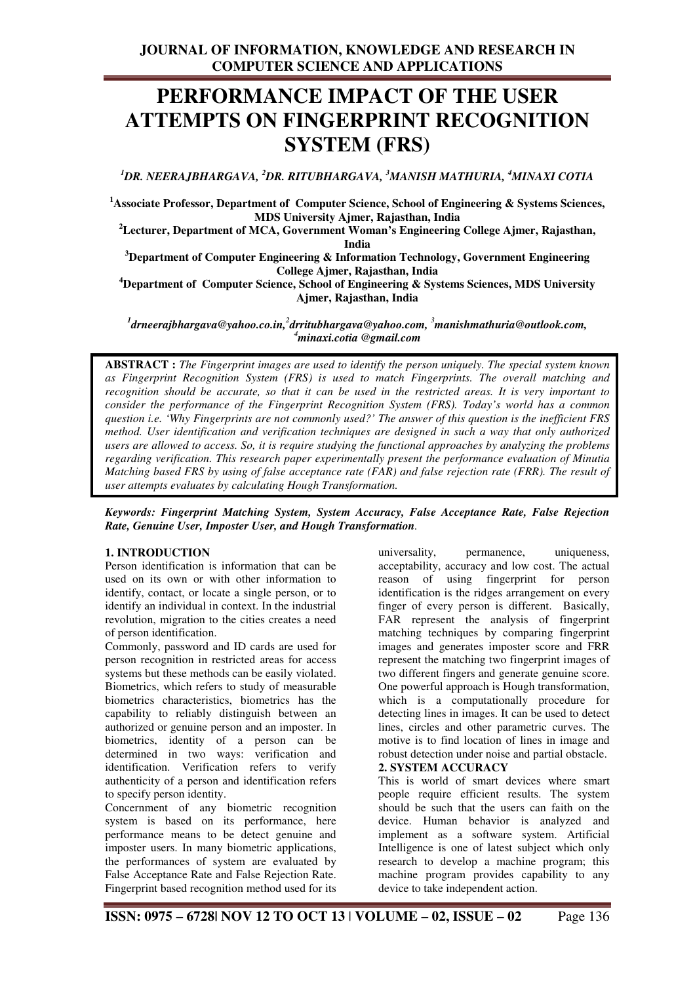# **PERFORMANCE IMPACT OF THE USER ATTEMPTS ON FINGERPRINT RECOGNITION SYSTEM (FRS)**

*<sup>1</sup>DR. NEERAJBHARGAVA, <sup>2</sup>DR. RITUBHARGAVA, <sup>3</sup>MANISH MATHURIA, <sup>4</sup>MINAXI COTIA* 

**<sup>1</sup>Associate Professor, Department of Computer Science, School of Engineering & Systems Sciences, MDS University Ajmer, Rajasthan, India** 

**<sup>2</sup>Lecturer, Department of MCA, Government Woman's Engineering College Ajmer, Rajasthan, India** 

**<sup>3</sup>Department of Computer Engineering & Information Technology, Government Engineering College Ajmer, Rajasthan, India** 

**<sup>4</sup>Department of Computer Science, School of Engineering & Systems Sciences, MDS University Ajmer, Rajasthan, India** 

 $^1$ drneerajbhargava@yahoo.co.in,<sup>2</sup>drritubhargava@yahoo.com, <sup>3</sup>manishmathuria@outlook.com, *<sup>4</sup>minaxi.cotia @gmail.com* 

**ABSTRACT :** *The Fingerprint images are used to identify the person uniquely. The special system known as Fingerprint Recognition System (FRS) is used to match Fingerprints. The overall matching and recognition should be accurate, so that it can be used in the restricted areas. It is very important to consider the performance of the Fingerprint Recognition System (FRS). Today's world has a common question i.e. 'Why Fingerprints are not commonly used?' The answer of this question is the inefficient FRS method. User identification and verification techniques are designed in such a way that only authorized users are allowed to access. So, it is require studying the functional approaches by analyzing the problems regarding verification. This research paper experimentally present the performance evaluation of Minutia Matching based FRS by using of false acceptance rate (FAR) and false rejection rate (FRR). The result of user attempts evaluates by calculating Hough Transformation.* 

*Keywords: Fingerprint Matching System, System Accuracy, False Acceptance Rate, False Rejection Rate, Genuine User, Imposter User, and Hough Transformation.* 

#### **1. INTRODUCTION**

Person identification is information that can be used on its own or with other information to identify, contact, or locate a single person, or to identify an individual in context. In the industrial revolution, migration to the cities creates a need of person identification.

Commonly, password and ID cards are used for person recognition in restricted areas for access systems but these methods can be easily violated. Biometrics, which refers to study of measurable biometrics characteristics, biometrics has the capability to reliably distinguish between an authorized or genuine person and an imposter. In biometrics, identity of a person can be determined in two ways: verification and identification. Verification refers to verify authenticity of a person and identification refers to specify person identity.

Concernment of any biometric recognition system is based on its performance, here performance means to be detect genuine and imposter users. In many biometric applications, the performances of system are evaluated by False Acceptance Rate and False Rejection Rate. Fingerprint based recognition method used for its

universality, permanence, uniqueness, acceptability, accuracy and low cost. The actual reason of using fingerprint for person identification is the ridges arrangement on every finger of every person is different. Basically, FAR represent the analysis of fingerprint matching techniques by comparing fingerprint images and generates imposter score and FRR represent the matching two fingerprint images of two different fingers and generate genuine score. One powerful approach is Hough transformation, which is a computationally procedure for detecting lines in images. It can be used to detect lines, circles and other parametric curves. The motive is to find location of lines in image and robust detection under noise and partial obstacle. **2. SYSTEM ACCURACY** 

This is world of smart devices where smart people require efficient results. The system should be such that the users can faith on the device. Human behavior is analyzed and implement as a software system. Artificial Intelligence is one of latest subject which only research to develop a machine program; this machine program provides capability to any device to take independent action.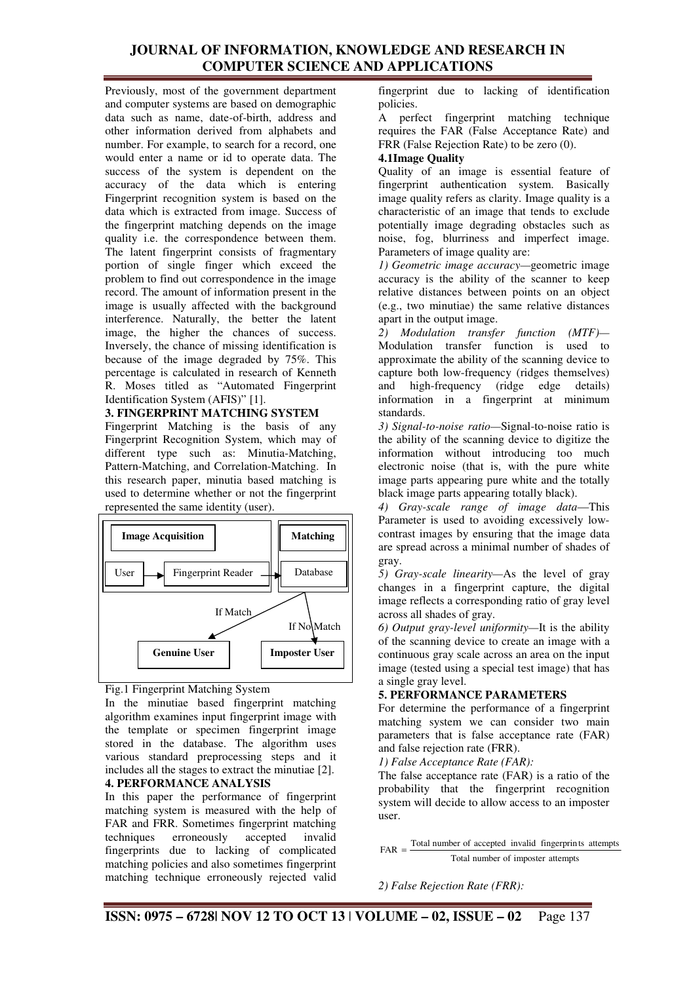Previously, most of the government department and computer systems are based on demographic data such as name, date-of-birth, address and other information derived from alphabets and number. For example, to search for a record, one would enter a name or id to operate data. The success of the system is dependent on the accuracy of the data which is entering Fingerprint recognition system is based on the data which is extracted from image. Success of the fingerprint matching depends on the image quality i.e. the correspondence between them. The latent fingerprint consists of fragmentary portion of single finger which exceed the problem to find out correspondence in the image record. The amount of information present in the image is usually affected with the background interference. Naturally, the better the latent image, the higher the chances of success. Inversely, the chance of missing identification is because of the image degraded by 75%. This percentage is calculated in research of Kenneth R. Moses titled as "Automated Fingerprint Identification System (AFIS)" [1].

## **3. FINGERPRINT MATCHING SYSTEM**

Fingerprint Matching is the basis of any Fingerprint Recognition System, which may of different type such as: Minutia-Matching, Pattern-Matching, and Correlation-Matching. In this research paper, minutia based matching is used to determine whether or not the fingerprint represented the same identity (user).



Fig.1 Fingerprint Matching System

In the minutiae based fingerprint matching algorithm examines input fingerprint image with the template or specimen fingerprint image stored in the database. The algorithm uses various standard preprocessing steps and it includes all the stages to extract the minutiae [2]. **4. PERFORMANCE ANALYSIS** 

In this paper the performance of fingerprint matching system is measured with the help of FAR and FRR. Sometimes fingerprint matching techniques erroneously accepted invalid fingerprints due to lacking of complicated matching policies and also sometimes fingerprint matching technique erroneously rejected valid fingerprint due to lacking of identification policies.

A perfect fingerprint matching technique requires the FAR (False Acceptance Rate) and FRR (False Rejection Rate) to be zero (0).

#### **4.1Image Quality**

Quality of an image is essential feature of fingerprint authentication system. Basically image quality refers as clarity. Image quality is a characteristic of an image that tends to exclude potentially image degrading obstacles such as noise, fog, blurriness and imperfect image. Parameters of image quality are:

*1) Geometric image accuracy—*geometric image accuracy is the ability of the scanner to keep relative distances between points on an object (e.g., two minutiae) the same relative distances apart in the output image.

*2) Modulation transfer function (MTF)—* Modulation transfer function is used to approximate the ability of the scanning device to capture both low-frequency (ridges themselves) and high-frequency (ridge edge details) information in a fingerprint at minimum standards.

*3) Signal-to-noise ratio—*Signal-to-noise ratio is the ability of the scanning device to digitize the information without introducing too much electronic noise (that is, with the pure white image parts appearing pure white and the totally black image parts appearing totally black).

*4) Gray-scale range of image data*—This Parameter is used to avoiding excessively lowcontrast images by ensuring that the image data are spread across a minimal number of shades of gray.

*5) Gray-scale linearity—*As the level of gray changes in a fingerprint capture, the digital image reflects a corresponding ratio of gray level across all shades of gray.

*6) Output gray-level uniformity—*It is the ability of the scanning device to create an image with a continuous gray scale across an area on the input image (tested using a special test image) that has a single gray level.

# **5. PERFORMANCE PARAMETERS**

For determine the performance of a fingerprint matching system we can consider two main parameters that is false acceptance rate (FAR) and false rejection rate (FRR).

*1) False Acceptance Rate (FAR):* 

The false acceptance rate (FAR) is a ratio of the probability that the fingerprint recognition system will decide to allow access to an imposter user.

Total number of imposter attempts Total number of accepted invalid fingerprin ts attempts  $FAR =$ 

*2) False Rejection Rate (FRR):*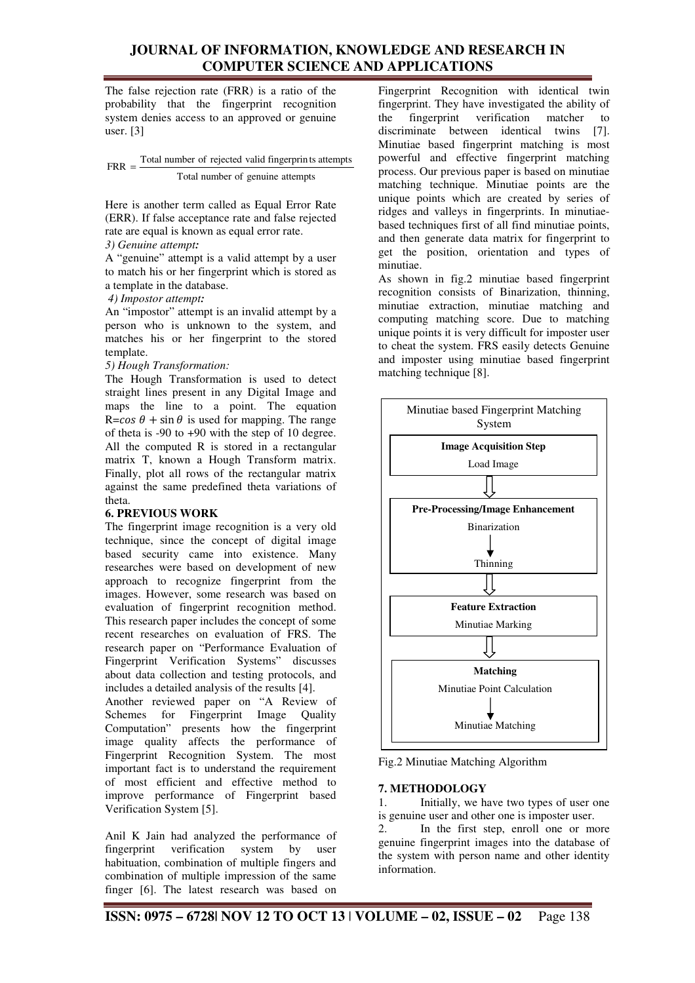The false rejection rate (FRR) is a ratio of the probability that the fingerprint recognition system denies access to an approved or genuine user. [3]

Total number of genuine attempts Total number of rejected valid fingerprin ts attempts FRR =

Here is another term called as Equal Error Rate (ERR). If false acceptance rate and false rejected rate are equal is known as equal error rate.

## *3) Genuine attempt:*

A "genuine" attempt is a valid attempt by a user to match his or her fingerprint which is stored as a template in the database.

#### *4) Impostor attempt:*

An "impostor" attempt is an invalid attempt by a person who is unknown to the system, and matches his or her fingerprint to the stored template.

#### *5) Hough Transformation:*

The Hough Transformation is used to detect straight lines present in any Digital Image and maps the line to a point. The equation  $R = cos \theta + sin \theta$  is used for mapping. The range of theta is -90 to +90 with the step of 10 degree. All the computed R is stored in a rectangular matrix T, known a Hough Transform matrix. Finally, plot all rows of the rectangular matrix against the same predefined theta variations of theta.

## **6. PREVIOUS WORK**

The fingerprint image recognition is a very old technique, since the concept of digital image based security came into existence. Many researches were based on development of new approach to recognize fingerprint from the images. However, some research was based on evaluation of fingerprint recognition method. This research paper includes the concept of some recent researches on evaluation of FRS. The research paper on "Performance Evaluation of Fingerprint Verification Systems" discusses about data collection and testing protocols, and includes a detailed analysis of the results [4].

Another reviewed paper on "A Review of Schemes for Fingerprint Image Quality Computation" presents how the fingerprint image quality affects the performance of Fingerprint Recognition System. The most important fact is to understand the requirement of most efficient and effective method to improve performance of Fingerprint based Verification System [5].

Anil K Jain had analyzed the performance of fingerprint verification system by user fingerprint verification habituation, combination of multiple fingers and combination of multiple impression of the same finger [6]. The latest research was based on

Fingerprint Recognition with identical twin fingerprint. They have investigated the ability of the fingerprint verification matcher to discriminate between identical twins [7]. Minutiae based fingerprint matching is most powerful and effective fingerprint matching process. Our previous paper is based on minutiae matching technique. Minutiae points are the unique points which are created by series of ridges and valleys in fingerprints. In minutiaebased techniques first of all find minutiae points, and then generate data matrix for fingerprint to get the position, orientation and types of minutiae.

As shown in fig.2 minutiae based fingerprint recognition consists of Binarization, thinning, minutiae extraction, minutiae matching and computing matching score. Due to matching unique points it is very difficult for imposter user to cheat the system. FRS easily detects Genuine and imposter using minutiae based fingerprint matching technique [8].



Fig.2 Minutiae Matching Algorithm

## **7. METHODOLOGY**

information.

1. Initially, we have two types of user one is genuine user and other one is imposter user. 2. In the first step, enroll one or more genuine fingerprint images into the database of the system with person name and other identity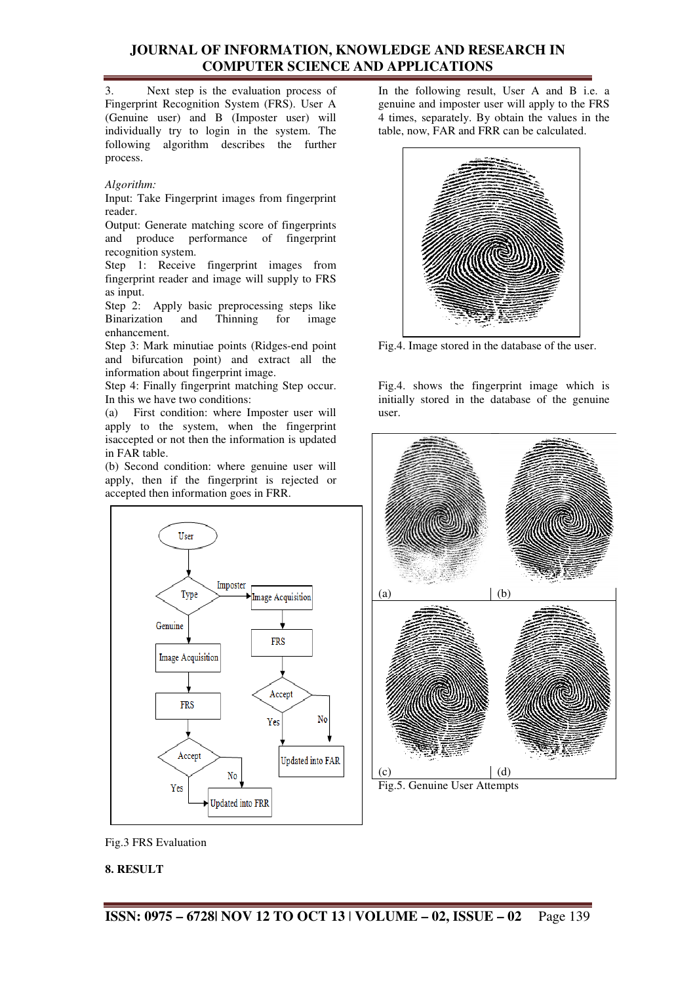3. Next step is the evaluation process of Fingerprint Recognition System (FRS). User A (Genuine user) and B (Imposter user) will individually try to login in the system. The following algorithm describes the further process.

#### *Algorithm:*

Input: Take Fingerprint images from fingerprint reader.

Output: Generate matching score of fingerprints and produce performance of fingerprint recognition system.

Step 1: Receive fingerprint images from fingerprint reader and image will supply to FRS as input.

Step 2: Apply basic preprocessing steps like Binarization and Thinning for image enhancement.

Step 3: Mark minutiae points (Ridges-end point and bifurcation point) and extract all the information about fingerprint image.

Step 4: Finally fingerprint matching Step occur. In this we have two conditions:

(a) First condition: where Imposter user will apply to the system, when the fingerprint isaccepted or not then the information is updated in FAR table.

(b) Second condition: where genuine user will apply, then if the fingerprint is rejected or accepted then information goes in FRR.



In the following result, User A and B i.e. a genuine and imposter user will apply to the FRS 4 times, separately. By obtain the values in the table, now, FAR and FRR can be calculated.



Fig.4. Image stored in the database of the user.

Fig.4. shows the fingerprint image which is initially stored in the database of the genuine user.



Fig.5. Genuine User Attempts

Fig.3 FRS Evaluation

#### **8. RESULT**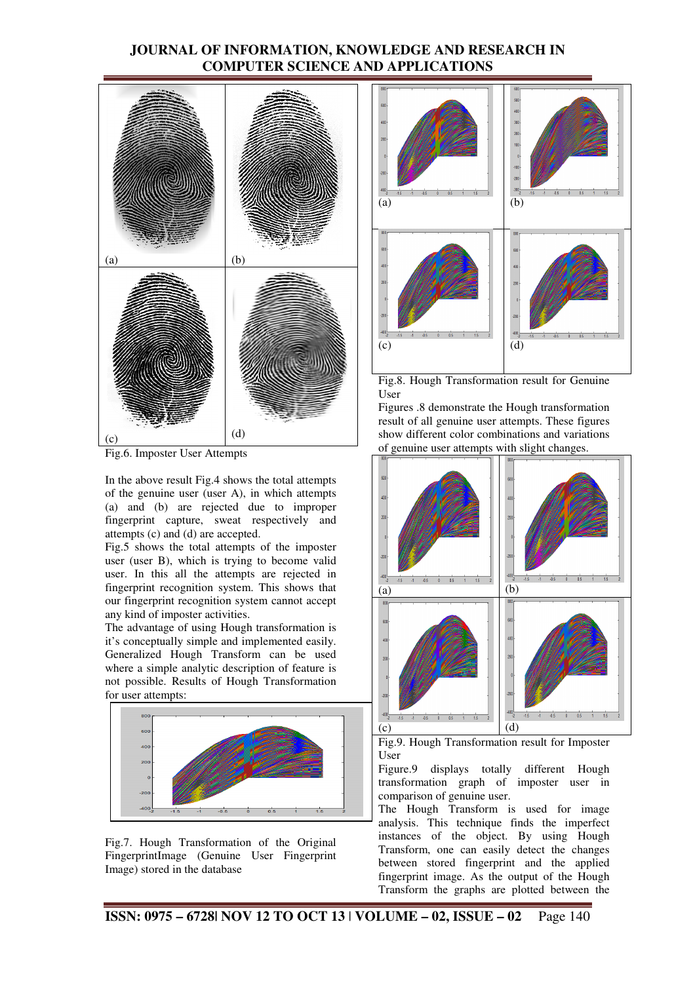

Fig.6. Imposter User Attempts

In the above result Fig.4 shows the total attempts of the genuine user (user A), in which attempts (a) and (b) are rejected due to improper fingerprint capture, sweat respectively and attempts (c) and (d) are accepted.

Fig.5 shows the total attempts of the imposter user (user B), which is trying to become valid user. In this all the attempts are rejected in fingerprint recognition system. This shows that our fingerprint recognition system cannot accept any kind of imposter activities.

The advantage of using Hough transformation is it's conceptually simple and implemented easily. Generalized Hough Transform can be used where a simple analytic description of feature is not possible. Results of Hough Transformation for user attempts:







Fig.8. Hough Transformation result for Genuine User

Figures .8 demonstrate the Hough transformation result of all genuine user attempts. These figures show different color combinations and variations of genuine user attempts with slight changes.



Fig.9. Hough Transformation result for Imposter User

Figure.9 displays totally different Hough transformation graph of imposter user in comparison of genuine user.

The Hough Transform is used for image analysis. This technique finds the imperfect instances of the object. By using Hough Transform, one can easily detect the changes between stored fingerprint and the applied fingerprint image. As the output of the Hough Transform the graphs are plotted between the